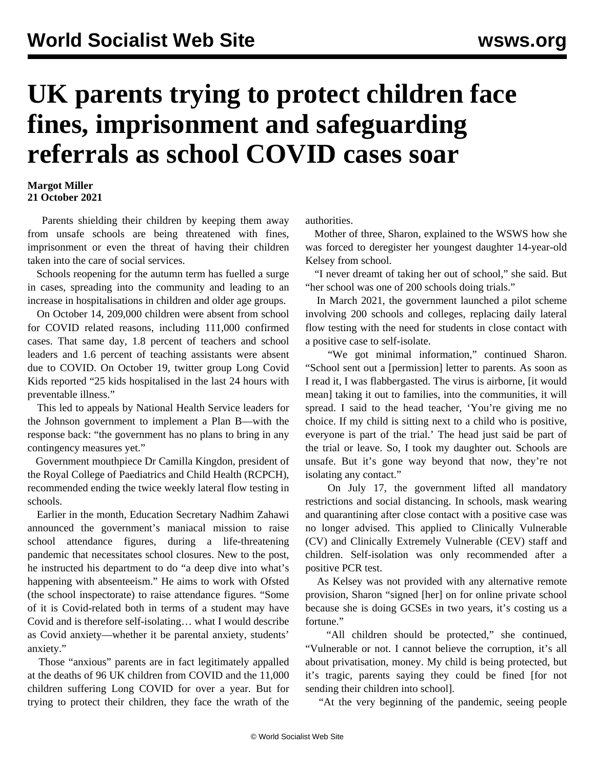## **UK parents trying to protect children face fines, imprisonment and safeguarding referrals as school COVID cases soar**

## **Margot Miller 21 October 2021**

 Parents shielding their children by keeping them away from unsafe schools are being threatened with fines, imprisonment or even the threat of having their children taken into the care of social services.

 Schools reopening for the autumn term has fuelled a surge in cases, spreading into the community and leading to an increase in hospitalisations in children and older age groups.

 On October 14, 209,000 children were absent from school for COVID related reasons, including 111,000 confirmed cases. That same day, 1.8 percent of teachers and school leaders and 1.6 percent of teaching assistants were absent due to COVID. On October 19, twitter group Long Covid Kids reported "25 kids hospitalised in the last 24 hours with preventable illness."

 This led to appeals by National Health Service leaders for the Johnson government to implement a Plan B—with the response back: "the government has no plans to bring in any contingency measures yet."

 Government mouthpiece Dr Camilla Kingdon, president of the Royal College of Paediatrics and Child Health (RCPCH), recommended ending the twice weekly lateral flow [testing in](/en/articles/2021/10/18/uksc-o18.html) [schools](/en/articles/2021/10/18/uksc-o18.html).

 Earlier in the month, Education Secretary Nadhim Zahawi announced the government's maniacal mission to raise school attendance figures, during a life-threatening pandemic that necessitates school closures. New to the post, he instructed his department to do "a deep dive into what's happening with absenteeism." He aims to work with Ofsted (the school inspectorate) to raise attendance figures. "Some of it is Covid-related both in terms of a student may have Covid and is therefore self-isolating… what I would describe as Covid anxiety—whether it be parental anxiety, students' anxiety."

 Those "anxious" parents are in fact legitimately appalled at the deaths of 96 UK children from COVID and the 11,000 children suffering Long COVID for over a year. But for trying to protect their children, they face the wrath of the authorities.

 Mother of three, Sharon, explained to the WSWS how she was forced to deregister her youngest daughter 14-year-old Kelsey from school.

 "I never dreamt of taking her out of school," she said. But "her school was one of 200 schools doing trials."

 In March 2021, the government launched a pilot scheme involving 200 schools and colleges, replacing daily lateral flow testing with the need for students in close contact with a positive case to self-isolate.

 "We got minimal information," continued Sharon. "School sent out a [permission] letter to parents. As soon as I read it, I was flabbergasted. The virus is airborne, [it would mean] taking it out to families, into the communities, it will spread. I said to the head teacher, 'You're giving me no choice. If my child is sitting next to a child who is positive, everyone is part of the trial.' The head just said be part of the trial or leave. So, I took my daughter out. Schools are unsafe. But it's gone way beyond that now, they're not isolating any contact."

 On July 17, the government lifted all mandatory restrictions and social distancing. In schools, mask wearing and quarantining after close contact with a positive case was no longer advised. This applied to Clinically Vulnerable (CV) and Clinically Extremely Vulnerable (CEV) staff and children. Self-isolation was only recommended after a positive PCR test.

 As Kelsey was not provided with any alternative remote provision, Sharon "signed [her] on for online private school because she is doing GCSEs in two years, it's costing us a fortune."

 "All children should be protected," she continued, "Vulnerable or not. I cannot believe the corruption, it's all about privatisation, money. My child is being protected, but it's tragic, parents saying they could be fined [for not sending their children into school].

"At the very beginning of the pandemic, seeing people